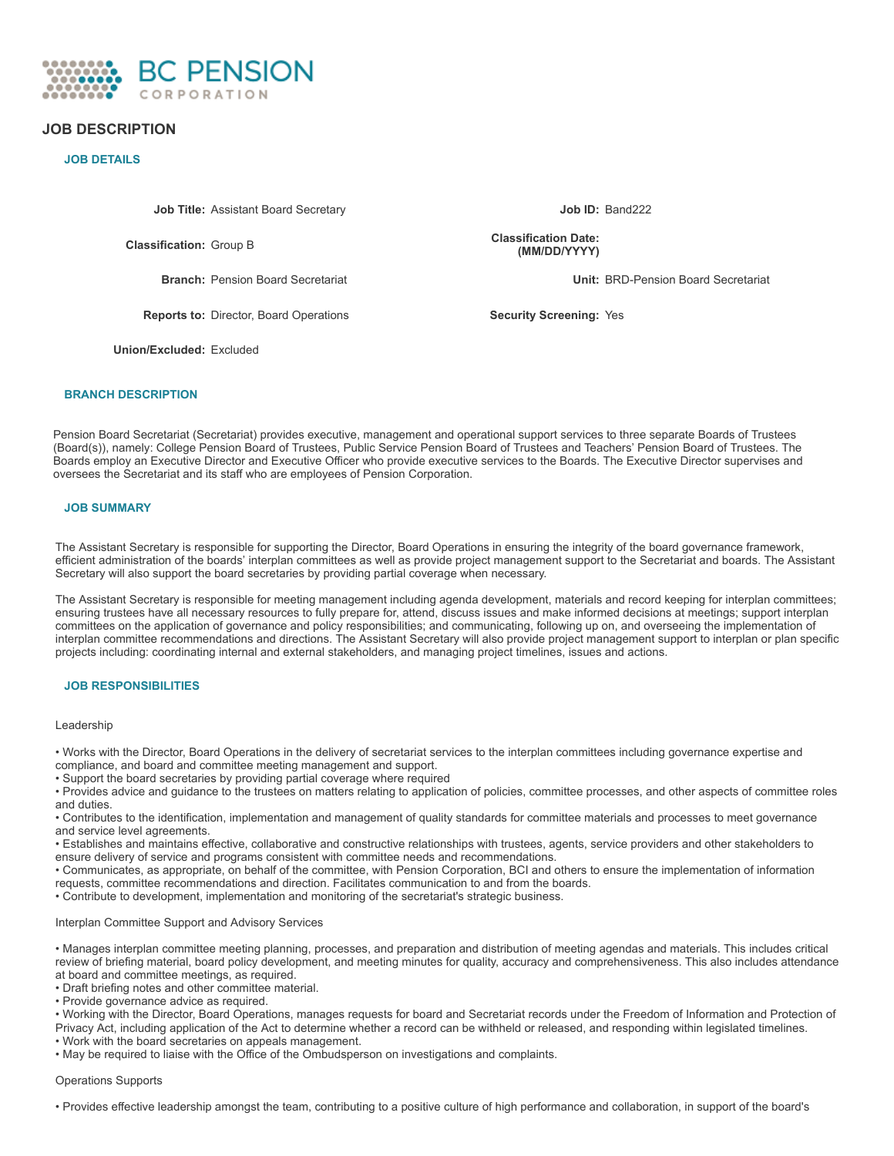

# **JOB DESCRIPTION**

## **JOB DETAILS**

**Job Title:** Assistant Board Secretary **Job ID:** Band222

**Classification:** Group B

**Reports to:** Director, Board Operations **Security Screening:** Yes

**Union/Excluded:** Excluded

**Classification Date: (MM/DD/YYYY)**

**Branch:** Pension Board Secretariat **Unit:** BRD-Pension Board Secretariat

### **BRANCH DESCRIPTION**

Pension Board Secretariat (Secretariat) provides executive, management and operational support services to three separate Boards of Trustees (Board(s)), namely: College Pension Board of Trustees, Public Service Pension Board of Trustees and Teachers' Pension Board of Trustees. The Boards employ an Executive Director and Executive Officer who provide executive services to the Boards. The Executive Director supervises and oversees the Secretariat and its staff who are employees of Pension Corporation.

### **JOB SUMMARY**

The Assistant Secretary is responsible for supporting the Director, Board Operations in ensuring the integrity of the board governance framework, efficient administration of the boards' interplan committees as well as provide project management support to the Secretariat and boards. The Assistant Secretary will also support the board secretaries by providing partial coverage when necessary.

The Assistant Secretary is responsible for meeting management including agenda development, materials and record keeping for interplan committees; ensuring trustees have all necessary resources to fully prepare for, attend, discuss issues and make informed decisions at meetings; support interplan committees on the application of governance and policy responsibilities; and communicating, following up on, and overseeing the implementation of interplan committee recommendations and directions. The Assistant Secretary will also provide project management support to interplan or plan specific projects including: coordinating internal and external stakeholders, and managing project timelines, issues and actions.

## **JOB RESPONSIBILITIES**

#### Leadership

• Works with the Director, Board Operations in the delivery of secretariat services to the interplan committees including governance expertise and compliance, and board and committee meeting management and support.

• Support the board secretaries by providing partial coverage where required

• Provides advice and guidance to the trustees on matters relating to application of policies, committee processes, and other aspects of committee roles and duties.

• Contributes to the identification, implementation and management of quality standards for committee materials and processes to meet governance and service level agreements.

• Establishes and maintains effective, collaborative and constructive relationships with trustees, agents, service providers and other stakeholders to ensure delivery of service and programs consistent with committee needs and recommendations.

• Communicates, as appropriate, on behalf of the committee, with Pension Corporation, BCI and others to ensure the implementation of information requests, committee recommendations and direction. Facilitates communication to and from the boards.

• Contribute to development, implementation and monitoring of the secretariat's strategic business.

### Interplan Committee Support and Advisory Services

• Manages interplan committee meeting planning, processes, and preparation and distribution of meeting agendas and materials. This includes critical review of briefing material, board policy development, and meeting minutes for quality, accuracy and comprehensiveness. This also includes attendance at board and committee meetings, as required.

• Draft briefing notes and other committee material.

• Provide governance advice as required.

• Working with the Director, Board Operations, manages requests for board and Secretariat records under the Freedom of Information and Protection of Privacy Act, including application of the Act to determine whether a record can be withheld or released, and responding within legislated timelines.

• Work with the board secretaries on appeals management.

• May be required to liaise with the Office of the Ombudsperson on investigations and complaints.

### Operations Supports

• Provides effective leadership amongst the team, contributing to a positive culture of high performance and collaboration, in support of the board's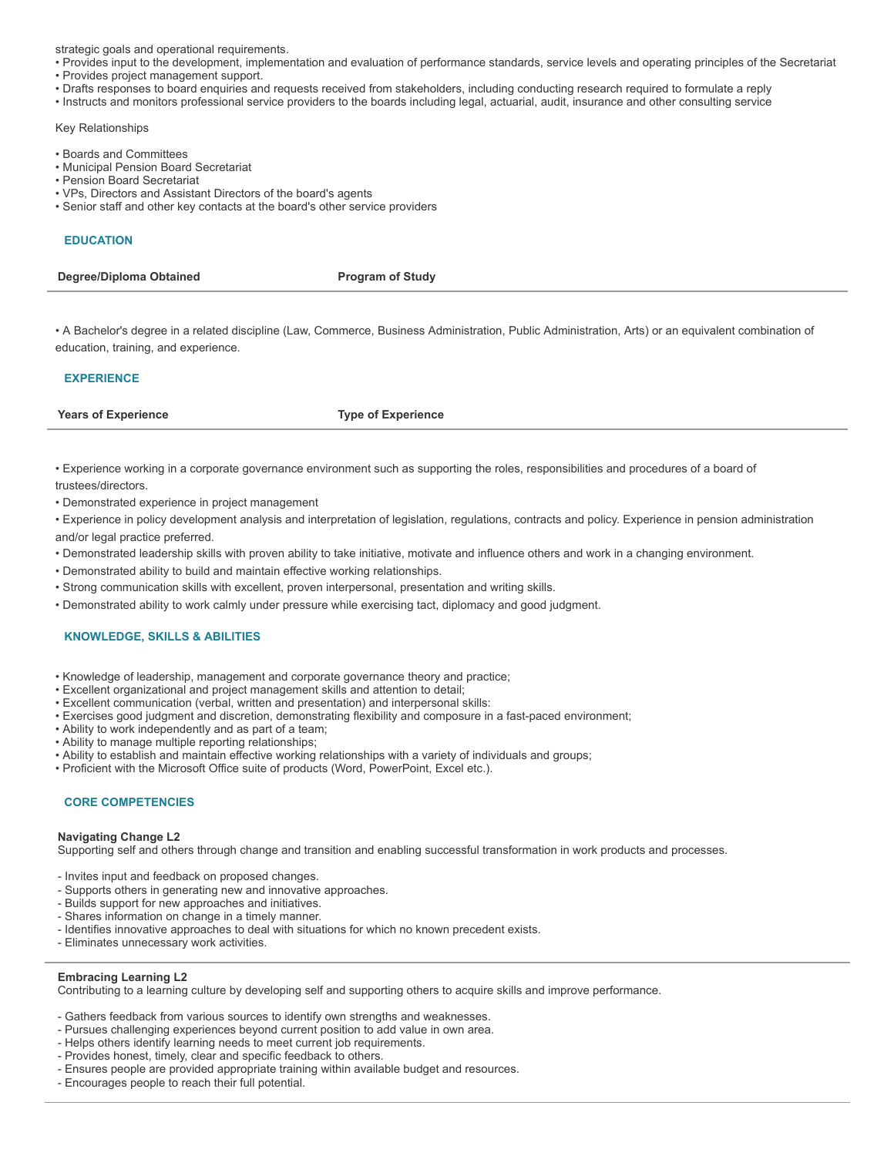strategic goals and operational requirements.

- Provides input to the development, implementation and evaluation of performance standards, service levels and operating principles of the Secretariat • Provides project management support.
- 
- Drafts responses to board enquiries and requests received from stakeholders, including conducting research required to formulate a reply • Instructs and monitors professional service providers to the boards including legal, actuarial, audit, insurance and other consulting service

## Key Relationships

- Boards and Committees
- Municipal Pension Board Secretariat
- Pension Board Secretariat
- VPs, Directors and Assistant Directors of the board's agents
- Senior staff and other key contacts at the board's other service providers

# **EDUCATION**

**Degree/Diploma Obtained Program** of Study

• A Bachelor's degree in a related discipline (Law, Commerce, Business Administration, Public Administration, Arts) or an equivalent combination of education, training, and experience.

## **EXPERIENCE**

**Years of Experience Type of Experience**

• Experience working in a corporate governance environment such as supporting the roles, responsibilities and procedures of a board of trustees/directors.

• Demonstrated experience in project management

• Experience in policy development analysis and interpretation of legislation, regulations, contracts and policy. Experience in pension administration and/or legal practice preferred.

- Demonstrated leadership skills with proven ability to take initiative, motivate and influence others and work in a changing environment.
- Demonstrated ability to build and maintain effective working relationships.
- Strong communication skills with excellent, proven interpersonal, presentation and writing skills.
- Demonstrated ability to work calmly under pressure while exercising tact, diplomacy and good judgment.

## **KNOWLEDGE, SKILLS & ABILITIES**

- Knowledge of leadership, management and corporate governance theory and practice;
- Excellent organizational and project management skills and attention to detail;
- Excellent communication (verbal, written and presentation) and interpersonal skills:
- Exercises good judgment and discretion, demonstrating flexibility and composure in a fast-paced environment;
- Ability to work independently and as part of a team;
- Ability to manage multiple reporting relationships;
- Ability to establish and maintain effective working relationships with a variety of individuals and groups;
- Proficient with the Microsoft Office suite of products (Word, PowerPoint, Excel etc.).

# **CORE COMPETENCIES**

## **Navigating Change L2**

Supporting self and others through change and transition and enabling successful transformation in work products and processes.

- Invites input and feedback on proposed changes.
- Supports others in generating new and innovative approaches.
- Builds support for new approaches and initiatives.
- Shares information on change in a timely manner.
- Identifies innovative approaches to deal with situations for which no known precedent exists.
- Eliminates unnecessary work activities.

## **Embracing Learning L2**

Contributing to a learning culture by developing self and supporting others to acquire skills and improve performance.

- Gathers feedback from various sources to identify own strengths and weaknesses.
- Pursues challenging experiences beyond current position to add value in own area.
- Helps others identify learning needs to meet current job requirements.
- Provides honest, timely, clear and specific feedback to others.
- Ensures people are provided appropriate training within available budget and resources.
- Encourages people to reach their full potential.